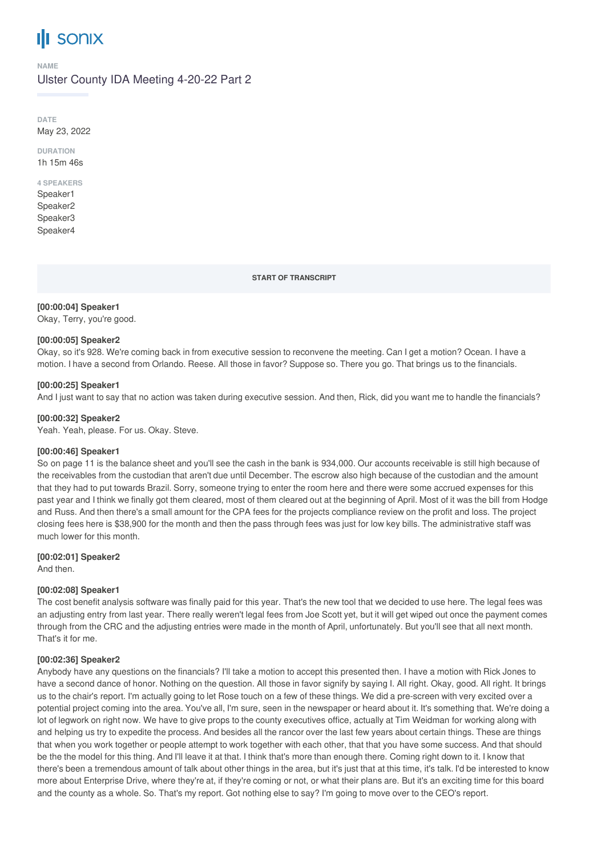# **SONIX**

#### **NAME**

# Ulster County IDA Meeting 4-20-22 Part 2

**DATE** May 23, 2022

**DURATION** 1h 15m 46s

# **4 SPEAKERS**

Speaker1 Speaker2 Speaker3 Speaker4

**START OF TRANSCRIPT**

## **[00:00:04] Speaker1**

Okay, Terry, you're good.

## **[00:00:05] Speaker2**

Okay, so it's 928. We're coming back in from executive session to reconvene the meeting. Can I get a motion? Ocean. I have a motion. I have a second from Orlando. Reese. All those in favor? Suppose so. There you go. That brings us to the financials.

## **[00:00:25] Speaker1**

And I just want to say that no action was taken during executive session. And then, Rick, did you want me to handle the financials?

## **[00:00:32] Speaker2**

Yeah. Yeah, please. For us. Okay. Steve.

## **[00:00:46] Speaker1**

So on page 11 is the balance sheet and you'll see the cash in the bank is 934,000. Our accounts receivable is still high because of the receivables from the custodian that aren't due until December. The escrow also high because of the custodian and the amount that they had to put towards Brazil. Sorry, someone trying to enter the room here and there were some accrued expenses for this past year and I think we finally got them cleared, most of them cleared out at the beginning of April. Most of it was the bill from Hodge and Russ. And then there's a small amount for the CPA fees for the projects compliance review on the profit and loss. The project closing fees here is \$38,900 for the month and then the pass through fees was just for low key bills. The administrative staff was much lower for this month.

## **[00:02:01] Speaker2**

And then.

## **[00:02:08] Speaker1**

The cost benefit analysis software was finally paid for this year. That's the new tool that we decided to use here. The legal fees was an adjusting entry from last year. There really weren't legal fees from Joe Scott yet, but it will get wiped out once the payment comes through from the CRC and the adjusting entries were made in the month of April, unfortunately. But you'll see that all next month. That's it for me.

## **[00:02:36] Speaker2**

Anybody have any questions on the financials? I'll take a motion to accept this presented then. I have a motion with Rick Jones to have a second dance of honor. Nothing on the question. All those in favor signify by saying I. All right. Okay, good. All right. It brings us to the chair's report. I'm actually going to let Rose touch on a few of these things. We did a pre-screen with very excited over a potential project coming into the area. You've all, I'm sure, seen in the newspaper or heard about it. It's something that. We're doing a lot of legwork on right now. We have to give props to the county executives office, actually at Tim Weidman for working along with and helping us try to expedite the process. And besides all the rancor over the last few years about certain things. These are things that when you work together or people attempt to work together with each other, that that you have some success. And that should be the the model for this thing. And I'll leave it at that. I think that's more than enough there. Coming right down to it. I know that there's been a tremendous amount of talk about other things in the area, but it's just that at this time, it's talk. I'd be interested to know more about Enterprise Drive, where they're at, if they're coming or not, or what their plans are. But it's an exciting time for this board and the county as a whole. So. That's my report. Got nothing else to say? I'm going to move over to the CEO's report.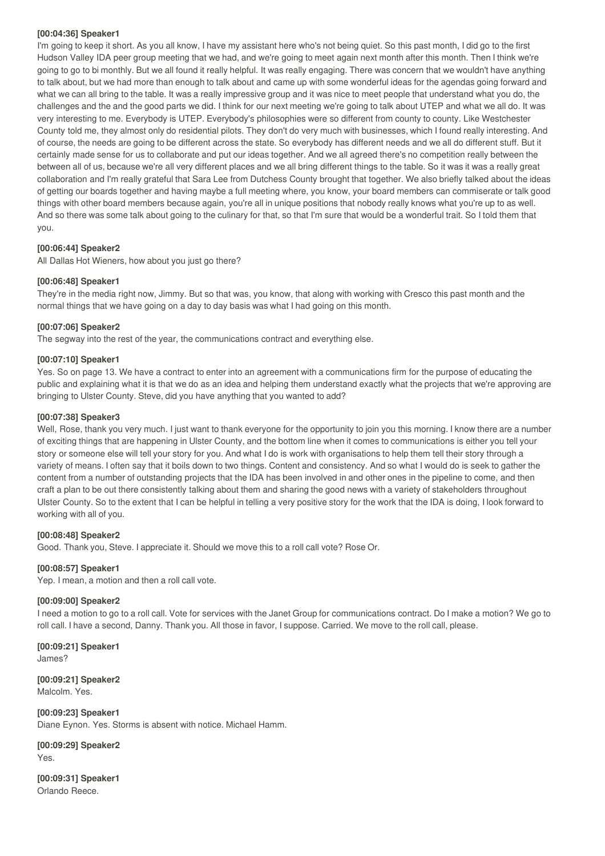#### **[00:04:36] Speaker1**

I'm going to keep it short. As you all know, I have my assistant here who's not being quiet. So this past month, I did go to the first Hudson Valley IDA peer group meeting that we had, and we're going to meet again next month after this month. Then I think we're going to go to bi monthly. But we all found it really helpful. It was really engaging. There was concern that we wouldn't have anything to talk about, but we had more than enough to talk about and came up with some wonderful ideas for the agendas going forward and what we can all bring to the table. It was a really impressive group and it was nice to meet people that understand what you do, the challenges and the and the good parts we did. I think for our next meeting we're going to talk about UTEP and what we all do. It was very interesting to me. Everybody is UTEP. Everybody's philosophies were so different from county to county. Like Westchester County told me, they almost only do residential pilots. They don't do very much with businesses, which I found really interesting. And of course, the needs are going to be different across the state. So everybody has different needs and we all do different stuff. But it certainly made sense for us to collaborate and put our ideas together. And we all agreed there's no competition really between the between all of us, because we're all very different places and we all bring different things to the table. So it was it was a really great collaboration and I'm really grateful that Sara Lee from Dutchess County brought that together. We also briefly talked about the ideas of getting our boards together and having maybe a full meeting where, you know, your board members can commiserate or talk good things with other board members because again, you're all in unique positions that nobody really knows what you're up to as well. And so there was some talk about going to the culinary for that, so that I'm sure that would be a wonderful trait. So I told them that you.

## **[00:06:44] Speaker2**

All Dallas Hot Wieners, how about you just go there?

## **[00:06:48] Speaker1**

They're in the media right now, Jimmy. But so that was, you know, that along with working with Cresco this past month and the normal things that we have going on a day to day basis was what I had going on this month.

## **[00:07:06] Speaker2**

The segway into the rest of the year, the communications contract and everything else.

## **[00:07:10] Speaker1**

Yes. So on page 13. We have a contract to enter into an agreement with a communications firm for the purpose of educating the public and explaining what it is that we do as an idea and helping them understand exactly what the projects that we're approving are bringing to Ulster County. Steve, did you have anything that you wanted to add?

## **[00:07:38] Speaker3**

Well, Rose, thank you very much. I just want to thank everyone for the opportunity to join you this morning. I know there are a number of exciting things that are happening in Ulster County, and the bottom line when it comes to communications is either you tell your story or someone else will tell your story for you. And what I do is work with organisations to help them tell their story through a variety of means. I often say that it boils down to two things. Content and consistency. And so what I would do is seek to gather the content from a number of outstanding projects that the IDA has been involved in and other ones in the pipeline to come, and then craft a plan to be out there consistently talking about them and sharing the good news with a variety of stakeholders throughout Ulster County. So to the extent that I can be helpful in telling a very positive story for the work that the IDA is doing, I look forward to working with all of you.

#### **[00:08:48] Speaker2**

Good. Thank you, Steve. I appreciate it. Should we move this to a roll call vote? Rose Or.

## **[00:08:57] Speaker1**

Yep. I mean, a motion and then a roll call vote.

#### **[00:09:00] Speaker2**

I need a motion to go to a roll call. Vote for services with the Janet Group for communications contract. Do I make a motion? We go to roll call. I have a second, Danny. Thank you. All those in favor, I suppose. Carried. We move to the roll call, please.

**[00:09:21] Speaker1** James?

**[00:09:21] Speaker2** Malcolm. Yes.

**[00:09:23] Speaker1** Diane Eynon. Yes. Storms is absent with notice. Michael Hamm.

**[00:09:29] Speaker2** Yes.

**[00:09:31] Speaker1** Orlando Reece.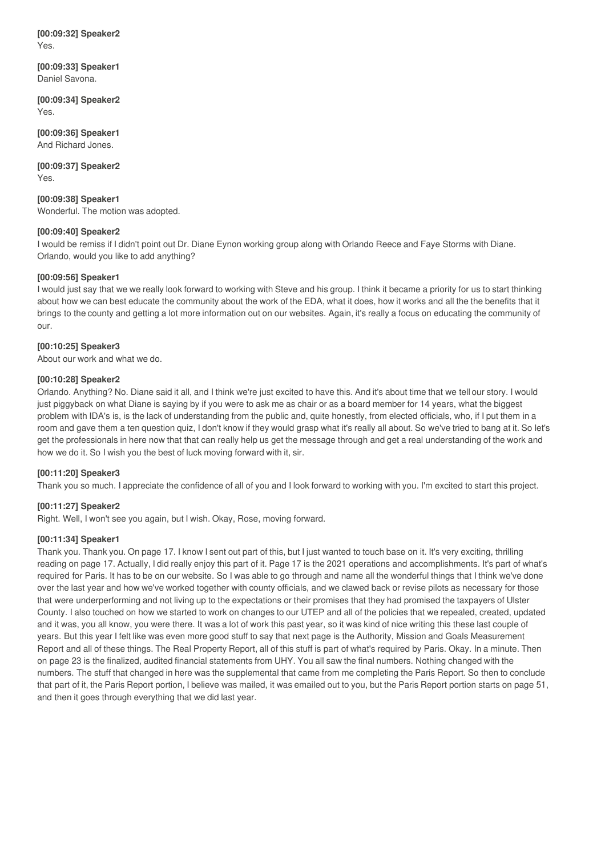**[00:09:32] Speaker2** Yes.

**[00:09:33] Speaker1** Daniel Savona.

**[00:09:34] Speaker2** Yes.

**[00:09:36] Speaker1** And Richard Jones.

**[00:09:37] Speaker2** Yes.

**[00:09:38] Speaker1** Wonderful. The motion was adopted.

## **[00:09:40] Speaker2**

I would be remiss if I didn't point out Dr. Diane Eynon working group along with Orlando Reece and Faye Storms with Diane. Orlando, would you like to add anything?

## **[00:09:56] Speaker1**

I would just say that we we really look forward to working with Steve and his group. I think it became a priority for us to start thinking about how we can best educate the community about the work of the EDA, what it does, how it works and all the the benefits that it brings to the county and getting a lot more information out on our websites. Again, it's really a focus on educating the community of our.

## **[00:10:25] Speaker3**

About our work and what we do.

## **[00:10:28] Speaker2**

Orlando. Anything? No. Diane said it all, and I think we're just excited to have this. And it's about time that we tell our story. I would just piggyback on what Diane is saying by if you were to ask me as chair or as a board member for 14 years, what the biggest problem with IDA's is, is the lack of understanding from the public and, quite honestly, from elected officials, who, if I put them in a room and gave them a ten question quiz, I don't know if they would grasp what it's really all about. So we've tried to bang at it. So let's get the professionals in here now that that can really help us get the message through and get a real understanding of the work and how we do it. So I wish you the best of luck moving forward with it, sir.

## **[00:11:20] Speaker3**

Thank you so much. I appreciate the confidence of all of you and I look forward to working with you. I'm excited to start this project.

## **[00:11:27] Speaker2**

Right. Well, I won't see you again, but I wish. Okay, Rose, moving forward.

## **[00:11:34] Speaker1**

Thank you. Thank you. On page 17. I know I sent out part of this, but I just wanted to touch base on it. It's very exciting, thrilling reading on page 17. Actually, I did really enjoy this part of it. Page 17 is the 2021 operations and accomplishments. It's part of what's required for Paris. It has to be on our website. So I was able to go through and name all the wonderful things that I think we've done over the last year and how we've worked together with county officials, and we clawed back or revise pilots as necessary for those that were underperforming and not living up to the expectations or their promises that they had promised the taxpayers of Ulster County. I also touched on how we started to work on changes to our UTEP and all of the policies that we repealed, created, updated and it was, you all know, you were there. It was a lot of work this past year, so it was kind of nice writing this these last couple of years. But this year I felt like was even more good stuff to say that next page is the Authority, Mission and Goals Measurement Report and all of these things. The Real Property Report, all of this stuff is part of what's required by Paris. Okay. In a minute. Then on page 23 is the finalized, audited financial statements from UHY. You all saw the final numbers. Nothing changed with the numbers. The stuff that changed in here was the supplemental that came from me completing the Paris Report. So then to conclude that part of it, the Paris Report portion, I believe was mailed, it was emailed out to you, but the Paris Report portion starts on page 51, and then it goes through everything that we did last year.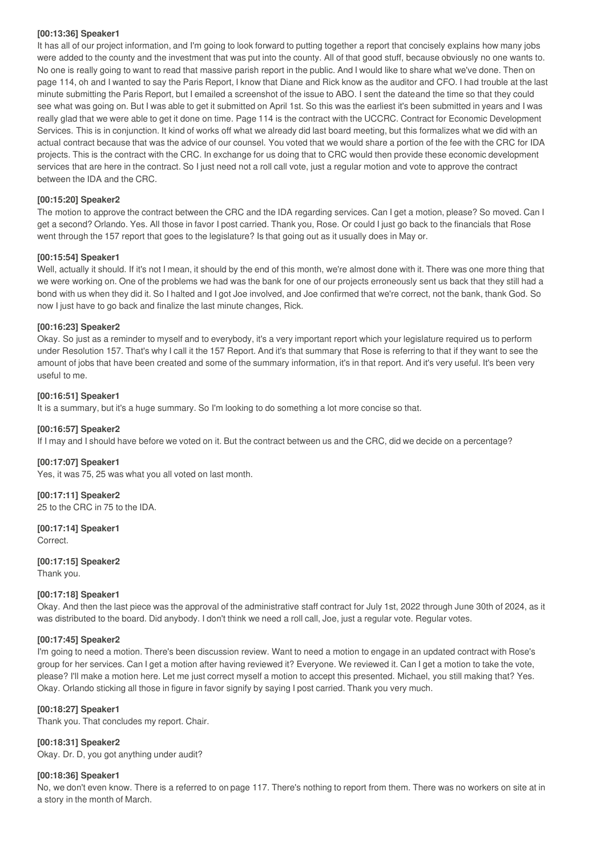## **[00:13:36] Speaker1**

It has all of our project information, and I'm going to look forward to putting together a report that concisely explains how many jobs were added to the county and the investment that was put into the county. All of that good stuff, because obviously no one wants to. No one is really going to want to read that massive parish report in the public. And I would like to share what we've done. Then on page 114, oh and I wanted to say the Paris Report, I know that Diane and Rick know as the auditor and CFO. I had trouble at the last minute submitting the Paris Report, but I emailed a screenshot of the issue to ABO. I sent the dateand the time so that they could see what was going on. But I was able to get it submitted on April 1st. So this was the earliest it's been submitted in years and I was really glad that we were able to get it done on time. Page 114 is the contract with the UCCRC. Contract for Economic Development Services. This is in conjunction. It kind of works off what we already did last board meeting, but this formalizes what we did with an actual contract because that was the advice of our counsel. You voted that we would share a portion of the fee with the CRC for IDA projects. This is the contract with the CRC. In exchange for us doing that to CRC would then provide these economic development services that are here in the contract. So I just need not a roll call vote, just a regular motion and vote to approve the contract between the IDA and the CRC.

## **[00:15:20] Speaker2**

The motion to approve the contract between the CRC and the IDA regarding services. Can I get a motion, please? So moved. Can I get a second? Orlando. Yes. All those in favor I post carried. Thank you, Rose. Or could I just go back to the financials that Rose went through the 157 report that goes to the legislature? Is that going out as it usually does in May or.

## **[00:15:54] Speaker1**

Well, actually it should. If it's not I mean, it should by the end of this month, we're almost done with it. There was one more thing that we were working on. One of the problems we had was the bank for one of our projects erroneously sent us back that they still had a bond with us when they did it. So I halted and I got Joe involved, and Joe confirmed that we're correct, not the bank, thank God. So now I just have to go back and finalize the last minute changes, Rick.

## **[00:16:23] Speaker2**

Okay. So just as a reminder to myself and to everybody, it's a very important report which your legislature required us to perform under Resolution 157. That's why I call it the 157 Report. And it's that summary that Rose is referring to that if they want to see the amount of jobs that have been created and some of the summary information, it's in that report. And it's very useful. It's been very useful to me.

## **[00:16:51] Speaker1**

It is a summary, but it's a huge summary. So I'm looking to do something a lot more concise so that.

## **[00:16:57] Speaker2**

If I may and I should have before we voted on it. But the contract between us and the CRC, did we decide on a percentage?

## **[00:17:07] Speaker1**

Yes, it was 75, 25 was what you all voted on last month.

## **[00:17:11] Speaker2**

25 to the CRC in 75 to the IDA.

## **[00:17:14] Speaker1**

Correct.

## **[00:17:15] Speaker2**

Thank you.

#### **[00:17:18] Speaker1**

Okay. And then the last piece was the approval of the administrative staff contract for July 1st, 2022 through June 30th of 2024, as it was distributed to the board. Did anybody. I don't think we need a roll call, Joe, just a regular vote. Regular votes.

#### **[00:17:45] Speaker2**

I'm going to need a motion. There's been discussion review. Want to need a motion to engage in an updated contract with Rose's group for her services. Can I get a motion after having reviewed it? Everyone. We reviewed it. Can I get a motion to take the vote, please? I'll make a motion here. Let me just correct myself a motion to accept this presented. Michael, you still making that? Yes. Okay. Orlando sticking all those in figure in favor signify by saying I post carried. Thank you very much.

#### **[00:18:27] Speaker1**

Thank you. That concludes my report. Chair.

## **[00:18:31] Speaker2**

Okay. Dr. D, you got anything under audit?

## **[00:18:36] Speaker1**

No, we don't even know. There is a referred to on page 117. There's nothing to report from them. There was no workers on site at in a story in the month of March.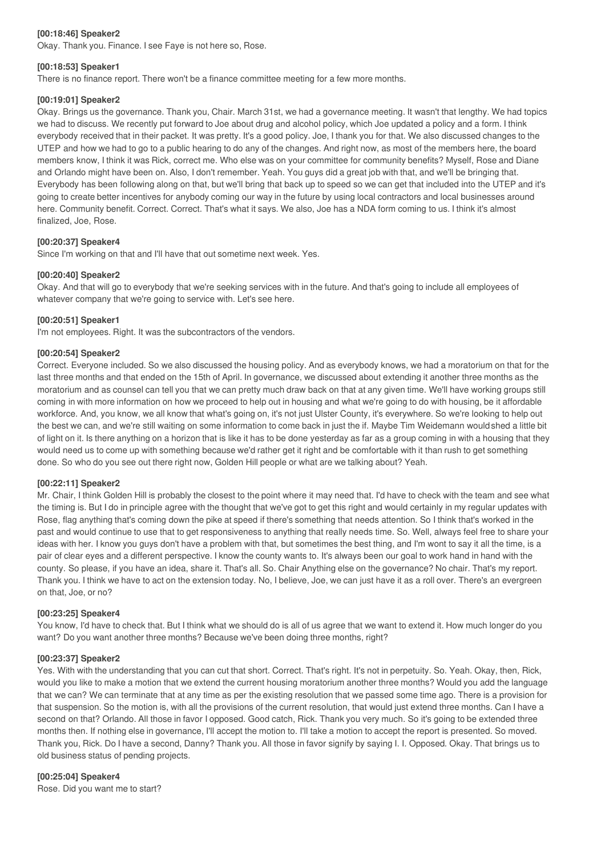## **[00:18:46] Speaker2**

Okay. Thank you. Finance. I see Faye is not here so, Rose.

#### **[00:18:53] Speaker1**

There is no finance report. There won't be a finance committee meeting for a few more months.

#### **[00:19:01] Speaker2**

Okay. Brings us the governance. Thank you, Chair. March 31st, we had a governance meeting. It wasn't that lengthy. We had topics we had to discuss. We recently put forward to Joe about drug and alcohol policy, which Joe updated a policy and a form. I think everybody received that in their packet. It was pretty. It's a good policy. Joe, I thank you for that. We also discussed changes to the UTEP and how we had to go to a public hearing to do any of the changes. And right now, as most of the members here, the board members know, I think it was Rick, correct me. Who else was on your committee for community benefits? Myself, Rose and Diane and Orlando might have been on. Also, I don't remember. Yeah. You guys did a great job with that, and we'll be bringing that. Everybody has been following along on that, but we'll bring that back up to speed so we can get that included into the UTEP and it's going to create better incentives for anybody coming our way in the future by using local contractors and local businesses around here. Community benefit. Correct. Correct. That's what it says. We also, Joe has a NDA form coming to us. I think it's almost finalized, Joe, Rose.

## **[00:20:37] Speaker4**

Since I'm working on that and I'll have that out sometime next week. Yes.

## **[00:20:40] Speaker2**

Okay. And that will go to everybody that we're seeking services with in the future. And that's going to include all employees of whatever company that we're going to service with. Let's see here.

#### **[00:20:51] Speaker1**

I'm not employees. Right. It was the subcontractors of the vendors.

#### **[00:20:54] Speaker2**

Correct. Everyone included. So we also discussed the housing policy. And as everybody knows, we had a moratorium on that for the last three months and that ended on the 15th of April. In governance, we discussed about extending it another three months as the moratorium and as counsel can tell you that we can pretty much draw back on that at any given time. We'll have working groups still coming in with more information on how we proceed to help out in housing and what we're going to do with housing, be it affordable workforce. And, you know, we all know that what's going on, it's not just Ulster County, it's everywhere. So we're looking to help out the best we can, and we're still waiting on some information to come back in just the if. Maybe Tim Weidemann would shed a little bit of light on it. Is there anything on a horizon that is like it has to be done yesterday as far as a group coming in with a housing that they would need us to come up with something because we'd rather get it right and be comfortable with it than rush to get something done. So who do you see out there right now, Golden Hill people or what are we talking about? Yeah.

#### **[00:22:11] Speaker2**

Mr. Chair, I think Golden Hill is probably the closest to the point where it may need that. I'd have to check with the team and see what the timing is. But I do in principle agree with the thought that we've got to get this right and would certainly in my regular updates with Rose, flag anything that's coming down the pike at speed if there's something that needs attention. So I think that's worked in the past and would continue to use that to get responsiveness to anything that really needs time. So. Well, always feel free to share your ideas with her. I know you guys don't have a problem with that, but sometimes the best thing, and I'm wont to say it all the time, is a pair of clear eyes and a different perspective. I know the county wants to. It's always been our goal to work hand in hand with the county. So please, if you have an idea, share it. That's all. So. Chair Anything else on the governance? No chair. That's my report. Thank you. I think we have to act on the extension today. No, I believe, Joe, we can just have it as a roll over. There's an evergreen on that, Joe, or no?

#### **[00:23:25] Speaker4**

You know, I'd have to check that. But I think what we should do is all of us agree that we want to extend it. How much longer do you want? Do you want another three months? Because we've been doing three months, right?

## **[00:23:37] Speaker2**

Yes. With with the understanding that you can cut that short. Correct. That's right. It's not in perpetuity. So. Yeah. Okay, then, Rick, would you like to make a motion that we extend the current housing moratorium another three months? Would you add the language that we can? We can terminate that at any time as per the existing resolution that we passed some time ago. There is a provision for that suspension. So the motion is, with all the provisions of the current resolution, that would just extend three months. Can I have a second on that? Orlando. All those in favor I opposed. Good catch, Rick. Thank you very much. So it's going to be extended three months then. If nothing else in governance, I'll accept the motion to. I'll take a motion to accept the report is presented. So moved. Thank you, Rick. Do I have a second, Danny? Thank you. All those in favor signify by saying I. I. Opposed. Okay. That brings us to old business status of pending projects.

## **[00:25:04] Speaker4**

Rose. Did you want me to start?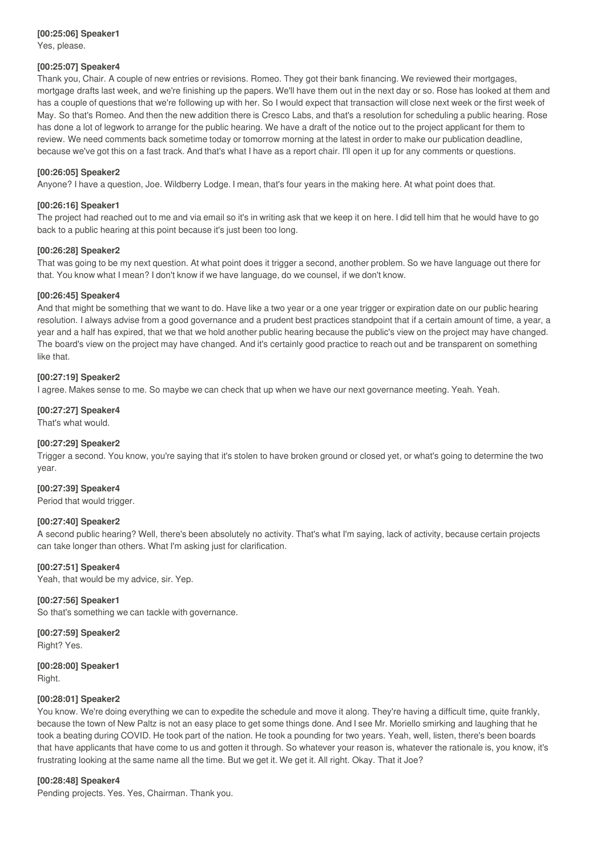#### **[00:25:06] Speaker1** Yes, please.

#### **[00:25:07] Speaker4**

Thank you, Chair. A couple of new entries or revisions. Romeo. They got their bank financing. We reviewed their mortgages, mortgage drafts last week, and we're finishing up the papers. We'll have them out in the next day or so. Rose has looked at them and has a couple of questions that we're following up with her. So I would expect that transaction will close next week or the first week of May. So that's Romeo. And then the new addition there is Cresco Labs, and that's a resolution for scheduling a public hearing. Rose has done a lot of legwork to arrange for the public hearing. We have a draft of the notice out to the project applicant for them to review. We need comments back sometime today or tomorrow morning at the latest in order to make our publication deadline, because we've got this on a fast track. And that's what I have as a report chair. I'll open it up for any comments or questions.

#### **[00:26:05] Speaker2**

Anyone? I have a question, Joe. Wildberry Lodge. I mean, that's four years in the making here. At what point does that.

#### **[00:26:16] Speaker1**

The project had reached out to me and via email so it's in writing ask that we keep it on here. I did tell him that he would have to go back to a public hearing at this point because it's just been too long.

#### **[00:26:28] Speaker2**

That was going to be my next question. At what point does it trigger a second, another problem. So we have language out there for that. You know what I mean? I don't know if we have language, do we counsel, if we don't know.

#### **[00:26:45] Speaker4**

And that might be something that we want to do. Have like a two year or a one year trigger or expiration date on our public hearing resolution. I always advise from a good governance and a prudent best practices standpoint that if a certain amount of time, a year, a year and a half has expired, that we that we hold another public hearing because the public's view on the project may have changed. The board's view on the project may have changed. And it's certainly good practice to reach out and be transparent on something like that.

#### **[00:27:19] Speaker2**

I agree. Makes sense to me. So maybe we can check that up when we have our next governance meeting. Yeah. Yeah.

## **[00:27:27] Speaker4**

That's what would.

#### **[00:27:29] Speaker2**

Trigger a second. You know, you're saying that it's stolen to have broken ground or closed yet, or what's going to determine the two year.

#### **[00:27:39] Speaker4**

Period that would trigger.

#### **[00:27:40] Speaker2**

A second public hearing? Well, there's been absolutely no activity. That's what I'm saying, lack of activity, because certain projects can take longer than others. What I'm asking just for clarification.

#### **[00:27:51] Speaker4**

Yeah, that would be my advice, sir. Yep.

#### **[00:27:56] Speaker1**

So that's something we can tackle with governance.

**[00:27:59] Speaker2** Right? Yes.

**[00:28:00] Speaker1** Right.

#### **[00:28:01] Speaker2**

You know. We're doing everything we can to expedite the schedule and move it along. They're having a difficult time, quite frankly, because the town of New Paltz is not an easy place to get some things done. And I see Mr. Moriello smirking and laughing that he took a beating during COVID. He took part of the nation. He took a pounding for two years. Yeah, well, listen, there's been boards that have applicants that have come to us and gotten it through. So whatever your reason is, whatever the rationale is, you know, it's frustrating looking at the same name all the time. But we get it. We get it. All right. Okay. That it Joe?

#### **[00:28:48] Speaker4**

Pending projects. Yes. Yes, Chairman. Thank you.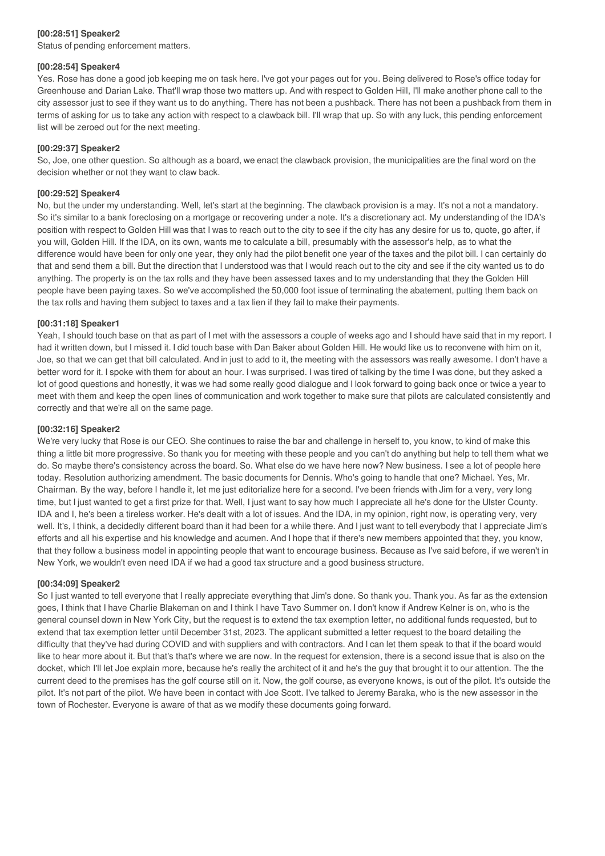## **[00:28:51] Speaker2**

Status of pending enforcement matters.

#### **[00:28:54] Speaker4**

Yes. Rose has done a good job keeping me on task here. I've got your pages out for you. Being delivered to Rose's office today for Greenhouse and Darian Lake. That'll wrap those two matters up. And with respect to Golden Hill, I'll make another phone call to the city assessor just to see if they want us to do anything. There has not been a pushback. There has not been a pushback from them in terms of asking for us to take any action with respect to a clawback bill. I'll wrap that up. So with any luck, this pending enforcement list will be zeroed out for the next meeting.

## **[00:29:37] Speaker2**

So, Joe, one other question. So although as a board, we enact the clawback provision, the municipalities are the final word on the decision whether or not they want to claw back.

## **[00:29:52] Speaker4**

No, but the under my understanding. Well, let's start at the beginning. The clawback provision is a may. It's not a not a mandatory. So it's similar to a bank foreclosing on a mortgage or recovering under a note. It's a discretionary act. My understanding of the IDA's position with respect to Golden Hill was that I was to reach out to the city to see if the city has any desire for us to, quote, go after, if you will, Golden Hill. If the IDA, on its own, wants me to calculate a bill, presumably with the assessor's help, as to what the difference would have been for only one year, they only had the pilot benefit one year of the taxes and the pilot bill. I can certainly do that and send them a bill. But the direction that I understood was that I would reach out to the city and see if the city wanted us to do anything. The property is on the tax rolls and they have been assessed taxes and to my understanding that they the Golden Hill people have been paying taxes. So we've accomplished the 50,000 foot issue of terminating the abatement, putting them back on the tax rolls and having them subject to taxes and a tax lien if they fail to make their payments.

## **[00:31:18] Speaker1**

Yeah, I should touch base on that as part of I met with the assessors a couple of weeks ago and I should have said that in my report. I had it written down, but I missed it. I did touch base with Dan Baker about Golden Hill. He would like us to reconvene with him on it, Joe, so that we can get that bill calculated. And in just to add to it, the meeting with the assessors was really awesome. I don't have a better word for it. I spoke with them for about an hour. I was surprised. I was tired of talking by the time I was done, but they asked a lot of good questions and honestly, it was we had some really good dialogue and I look forward to going back once or twice a year to meet with them and keep the open lines of communication and work together to make sure that pilots are calculated consistently and correctly and that we're all on the same page.

## **[00:32:16] Speaker2**

We're very lucky that Rose is our CEO. She continues to raise the bar and challenge in herself to, you know, to kind of make this thing a little bit more progressive. So thank you for meeting with these people and you can't do anything but help to tell them what we do. So maybe there's consistency across the board. So. What else do we have here now? New business. I see a lot of people here today. Resolution authorizing amendment. The basic documents for Dennis. Who's going to handle that one? Michael. Yes, Mr. Chairman. By the way, before I handle it, let me just editorialize here for a second. I've been friends with Jim for a very, very long time, but I just wanted to get a first prize for that. Well, I just want to say how much I appreciate all he's done for the Ulster County. IDA and I, he's been a tireless worker. He's dealt with a lot of issues. And the IDA, in my opinion, right now, is operating very, very well. It's, I think, a decidedly different board than it had been for a while there. And I just want to tell everybody that I appreciate Jim's efforts and all his expertise and his knowledge and acumen. And I hope that if there's new members appointed that they, you know, that they follow a business model in appointing people that want to encourage business. Because as I've said before, if we weren't in New York, we wouldn't even need IDA if we had a good tax structure and a good business structure.

#### **[00:34:09] Speaker2**

So I just wanted to tell everyone that I really appreciate everything that Jim's done. So thank you. Thank you. As far as the extension goes, I think that I have Charlie Blakeman on and I think I have Tavo Summer on. I don't know if Andrew Kelner is on, who is the general counsel down in New York City, but the request is to extend the tax exemption letter, no additional funds requested, but to extend that tax exemption letter until December 31st, 2023. The applicant submitted a letter request to the board detailing the difficulty that they've had during COVID and with suppliers and with contractors. And I can let them speak to that if the board would like to hear more about it. But that's that's where we are now. In the request for extension, there is a second issue that is also on the docket, which I'll let Joe explain more, because he's really the architect of it and he's the guy that brought it to our attention. The the current deed to the premises has the golf course still on it. Now, the golf course, as everyone knows, is out of the pilot. It's outside the pilot. It's not part of the pilot. We have been in contact with Joe Scott. I've talked to Jeremy Baraka, who is the new assessor in the town of Rochester. Everyone is aware of that as we modify these documents going forward.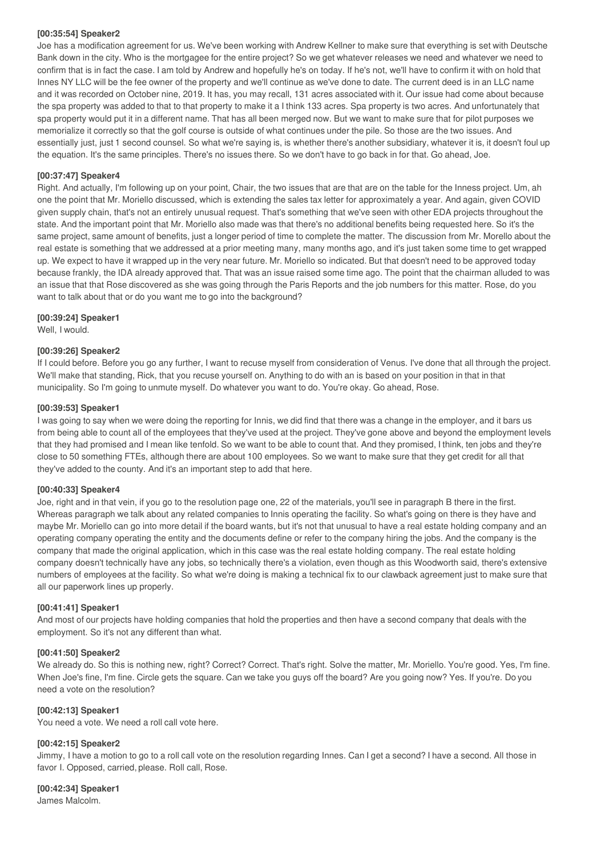#### **[00:35:54] Speaker2**

Joe has a modification agreement for us. We've been working with Andrew Kellner to make sure that everything is set with Deutsche Bank down in the city. Who is the mortgagee for the entire project? So we get whatever releases we need and whatever we need to confirm that is in fact the case. I am told by Andrew and hopefully he's on today. If he's not, we'll have to confirm it with on hold that Innes NY LLC will be the fee owner of the property and we'll continue as we've done to date. The current deed is in an LLC name and it was recorded on October nine, 2019. It has, you may recall, 131 acres associated with it. Our issue had come about because the spa property was added to that to that property to make it a I think 133 acres. Spa property is two acres. And unfortunately that spa property would put it in a different name. That has all been merged now. But we want to make sure that for pilot purposes we memorialize it correctly so that the golf course is outside of what continues under the pile. So those are the two issues. And essentially just, just 1 second counsel. So what we're saying is, is whether there's another subsidiary, whatever it is, it doesn't foul up the equation. It's the same principles. There's no issues there. So we don't have to go back in for that. Go ahead, Joe.

## **[00:37:47] Speaker4**

Right. And actually, I'm following up on your point, Chair, the two issues that are that are on the table for the Inness project. Um, ah one the point that Mr. Moriello discussed, which is extending the sales tax letter for approximately a year. And again, given COVID given supply chain, that's not an entirely unusual request. That's something that we've seen with other EDA projects throughout the state. And the important point that Mr. Moriello also made was that there's no additional benefits being requested here. So it's the same project, same amount of benefits, just a longer period of time to complete the matter. The discussion from Mr. Morello about the real estate is something that we addressed at a prior meeting many, many months ago, and it's just taken some time to get wrapped up. We expect to have it wrapped up in the very near future. Mr. Moriello so indicated. But that doesn't need to be approved today because frankly, the IDA already approved that. That was an issue raised some time ago. The point that the chairman alluded to was an issue that that Rose discovered as she was going through the Paris Reports and the job numbers for this matter. Rose, do you want to talk about that or do you want me to go into the background?

## **[00:39:24] Speaker1**

Well, I would.

## **[00:39:26] Speaker2**

If I could before. Before you go any further, I want to recuse myself from consideration of Venus. I've done that all through the project. We'll make that standing, Rick, that you recuse yourself on. Anything to do with an is based on your position in that in that municipality. So I'm going to unmute myself. Do whatever you want to do. You're okay. Go ahead, Rose.

## **[00:39:53] Speaker1**

I was going to say when we were doing the reporting for Innis, we did find that there was a change in the employer, and it bars us from being able to count all of the employees that they've used at the project. They've gone above and beyond the employment levels that they had promised and I mean like tenfold. So we want to be able to count that. And they promised, I think, ten jobs and they're close to 50 something FTEs, although there are about 100 employees. So we want to make sure that they get credit for all that they've added to the county. And it's an important step to add that here.

#### **[00:40:33] Speaker4**

Joe, right and in that vein, if you go to the resolution page one, 22 of the materials, you'll see in paragraph B there in the first. Whereas paragraph we talk about any related companies to Innis operating the facility. So what's going on there is they have and maybe Mr. Moriello can go into more detail if the board wants, but it's not that unusual to have a real estate holding company and an operating company operating the entity and the documents define or refer to the company hiring the jobs. And the company is the company that made the original application, which in this case was the real estate holding company. The real estate holding company doesn't technically have any jobs, so technically there's a violation, even though as this Woodworth said, there's extensive numbers of employees at the facility. So what we're doing is making a technical fix to our clawback agreement just to make sure that all our paperwork lines up properly.

## **[00:41:41] Speaker1**

And most of our projects have holding companies that hold the properties and then have a second company that deals with the employment. So it's not any different than what.

## **[00:41:50] Speaker2**

We already do. So this is nothing new, right? Correct? Correct. That's right. Solve the matter, Mr. Moriello. You're good. Yes, I'm fine. When Joe's fine, I'm fine. Circle gets the square. Can we take you guys off the board? Are you going now? Yes. If you're. Do you need a vote on the resolution?

#### **[00:42:13] Speaker1**

You need a vote. We need a roll call vote here.

# **[00:42:15] Speaker2**

Jimmy, I have a motion to go to a roll call vote on the resolution regarding Innes. Can I get a second? I have a second. All those in favor I. Opposed, carried, please. Roll call, Rose.

# **[00:42:34] Speaker1**

James Malcolm.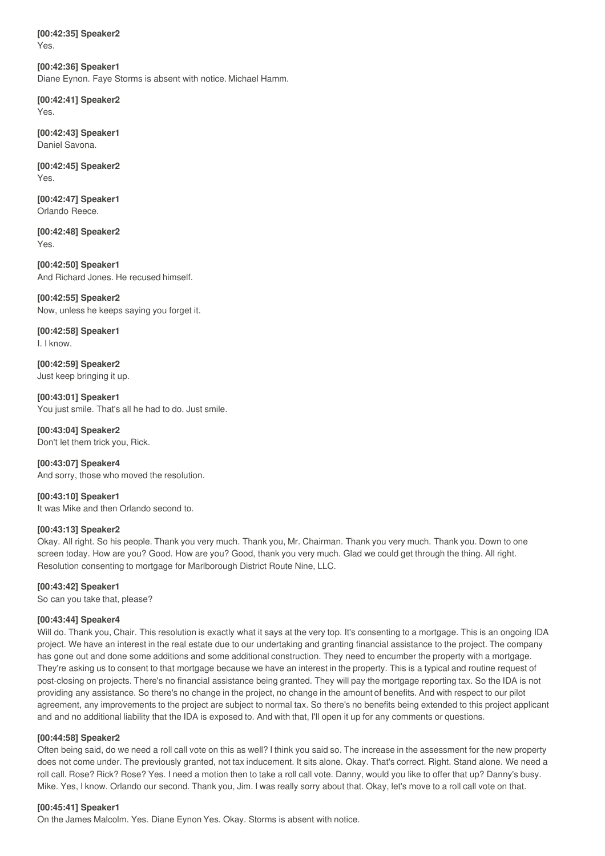**[00:42:35] Speaker2** Yes.

**[00:42:36] Speaker1** Diane Eynon. Faye Storms is absent with notice. Michael Hamm.

**[00:42:41] Speaker2** Yes.

**[00:42:43] Speaker1** Daniel Savona.

**[00:42:45] Speaker2** Yes.

**[00:42:47] Speaker1** Orlando Reece.

**[00:42:48] Speaker2** Yes.

**[00:42:50] Speaker1** And Richard Jones. He recused himself.

**[00:42:55] Speaker2** Now, unless he keeps saying you forget it.

**[00:42:58] Speaker1** I. I know.

**[00:42:59] Speaker2** Just keep bringing it up.

**[00:43:01] Speaker1** You just smile. That's all he had to do. Just smile.

**[00:43:04] Speaker2** Don't let them trick you, Rick.

**[00:43:07] Speaker4** And sorry, those who moved the resolution.

**[00:43:10] Speaker1** It was Mike and then Orlando second to.

## **[00:43:13] Speaker2**

Okay. All right. So his people. Thank you very much. Thank you, Mr. Chairman. Thank you very much. Thank you. Down to one screen today. How are you? Good. How are you? Good, thank you very much. Glad we could get through the thing. All right. Resolution consenting to mortgage for Marlborough District Route Nine, LLC.

# **[00:43:42] Speaker1**

So can you take that, please?

## **[00:43:44] Speaker4**

Will do. Thank you, Chair. This resolution is exactly what it says at the very top. It's consenting to a mortgage. This is an ongoing IDA project. We have an interest in the real estate due to our undertaking and granting financial assistance to the project. The company has gone out and done some additions and some additional construction. They need to encumber the property with a mortgage. They're asking us to consent to that mortgage because we have an interest in the property. This is a typical and routine request of post-closing on projects. There's no financial assistance being granted. They will pay the mortgage reporting tax. So the IDA is not providing any assistance. So there's no change in the project, no change in the amount of benefits. And with respect to our pilot agreement, any improvements to the project are subject to normal tax. So there's no benefits being extended to this project applicant and and no additional liability that the IDA is exposed to. And with that, I'll open it up for any comments or questions.

## **[00:44:58] Speaker2**

Often being said, do we need a roll call vote on this as well? I think you said so. The increase in the assessment for the new property does not come under. The previously granted, not tax inducement. It sits alone. Okay. That's correct. Right. Stand alone. We need a roll call. Rose? Rick? Rose? Yes. I need a motion then to take a roll call vote. Danny, would you like to offer that up? Danny's busy. Mike. Yes, I know. Orlando our second. Thank you, Jim. I was really sorry about that. Okay, let's move to a roll call vote on that.

## **[00:45:41] Speaker1**

On the James Malcolm. Yes. Diane Eynon Yes. Okay. Storms is absent with notice.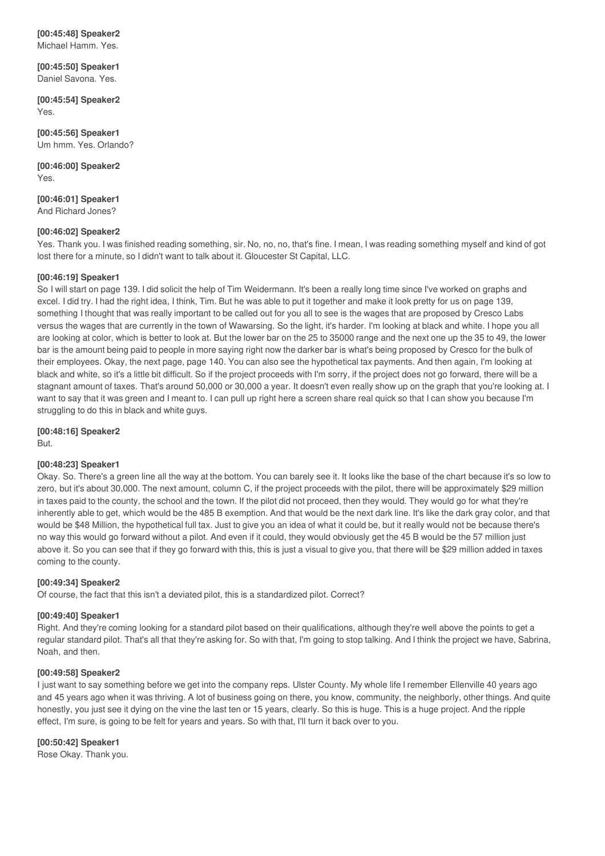#### **[00:45:48] Speaker2** Michael Hamm. Yes.

**[00:45:50] Speaker1**

Daniel Savona. Yes. **[00:45:54] Speaker2**

Yes.

**[00:45:56] Speaker1** Um hmm. Yes. Orlando?

**[00:46:00] Speaker2** Yes.

**[00:46:01] Speaker1** And Richard Jones?

## **[00:46:02] Speaker2**

Yes. Thank you. I was finished reading something, sir. No, no, no, that's fine. I mean, I was reading something myself and kind of got lost there for a minute, so I didn't want to talk about it. Gloucester St Capital, LLC.

## **[00:46:19] Speaker1**

So I will start on page 139. I did solicit the help of Tim Weidermann. It's been a really long time since I've worked on graphs and excel. I did try. I had the right idea, I think, Tim. But he was able to put it together and make it look pretty for us on page 139, something I thought that was really important to be called out for you all to see is the wages that are proposed by Cresco Labs versus the wages that are currently in the town of Wawarsing. So the light, it's harder. I'm looking at black and white. I hope you all are looking at color, which is better to look at. But the lower bar on the 25 to 35000 range and the next one up the 35 to 49, the lower bar is the amount being paid to people in more saying right now the darker bar is what's being proposed by Cresco for the bulk of their employees. Okay, the next page, page 140. You can also see the hypothetical tax payments. And then again, I'm looking at black and white, so it's a little bit difficult. So if the project proceeds with I'm sorry, if the project does not go forward, there will be a stagnant amount of taxes. That's around 50,000 or 30,000 a year. It doesn't even really show up on the graph that you're looking at. I want to say that it was green and I meant to. I can pull up right here a screen share real quick so that I can show you because I'm struggling to do this in black and white guys.

**[00:48:16] Speaker2** But.

## **[00:48:23] Speaker1**

Okay. So. There's a green line all the way at the bottom. You can barely see it. It looks like the base of the chart because it's so low to zero, but it's about 30,000. The next amount, column C, if the project proceeds with the pilot, there will be approximately \$29 million in taxes paid to the county, the school and the town. If the pilot did not proceed, then they would. They would go for what they're inherently able to get, which would be the 485 B exemption. And that would be the next dark line. It's like the dark gray color, and that would be \$48 Million, the hypothetical full tax. Just to give you an idea of what it could be, but it really would not be because there's no way this would go forward without a pilot. And even if it could, they would obviously get the 45 B would be the 57 million just above it. So you can see that if they go forward with this, this is just a visual to give you, that there will be \$29 million added in taxes coming to the county.

## **[00:49:34] Speaker2**

Of course, the fact that this isn't a deviated pilot, this is a standardized pilot. Correct?

## **[00:49:40] Speaker1**

Right. And they're coming looking for a standard pilot based on their qualifications, although they're well above the points to get a regular standard pilot. That's all that they're asking for. So with that, I'm going to stop talking. And I think the project we have, Sabrina, Noah, and then.

## **[00:49:58] Speaker2**

I just want to say something before we get into the company reps. Ulster County. My whole life I remember Ellenville 40 years ago and 45 years ago when it was thriving. A lot of business going on there, you know, community, the neighborly, other things. And quite honestly, you just see it dying on the vine the last ten or 15 years, clearly. So this is huge. This is a huge project. And the ripple effect, I'm sure, is going to be felt for years and years. So with that, I'll turn it back over to you.

## **[00:50:42] Speaker1**

Rose Okay. Thank you.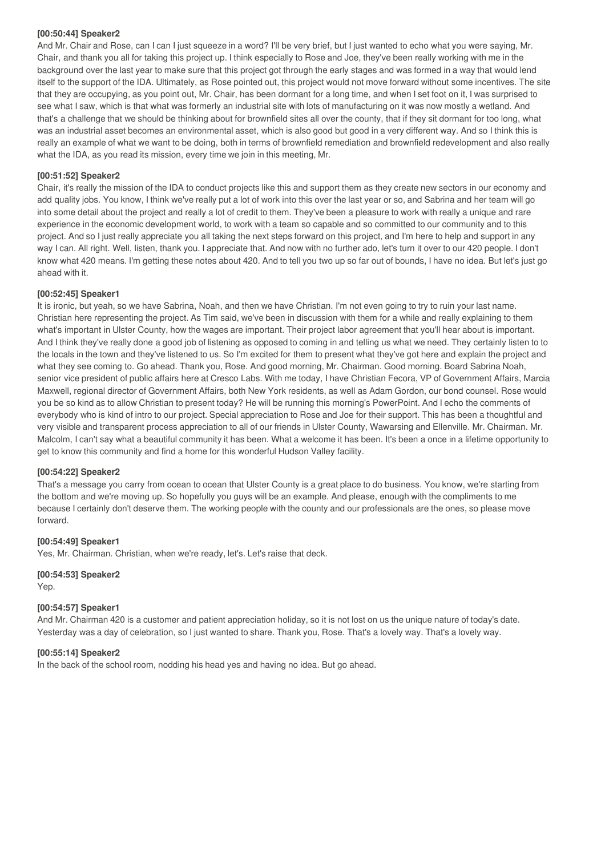## **[00:50:44] Speaker2**

And Mr. Chair and Rose, can I can I just squeeze in a word? I'll be very brief, but I just wanted to echo what you were saying, Mr. Chair, and thank you all for taking this project up. I think especially to Rose and Joe, they've been really working with me in the background over the last year to make sure that this project got through the early stages and was formed in a way that would lend itself to the support of the IDA. Ultimately, as Rose pointed out, this project would not move forward without some incentives. The site that they are occupying, as you point out, Mr. Chair, has been dormant for a long time, and when I set foot on it, I was surprised to see what I saw, which is that what was formerly an industrial site with lots of manufacturing on it was now mostly a wetland. And that's a challenge that we should be thinking about for brownfield sites all over the county, that if they sit dormant for too long, what was an industrial asset becomes an environmental asset, which is also good but good in a very different way. And so I think this is really an example of what we want to be doing, both in terms of brownfield remediation and brownfield redevelopment and also really what the IDA, as you read its mission, every time we join in this meeting, Mr.

## **[00:51:52] Speaker2**

Chair, it's really the mission of the IDA to conduct projects like this and support them as they create new sectors in our economy and add quality jobs. You know, I think we've really put a lot of work into this over the last year or so, and Sabrina and her team will go into some detail about the project and really a lot of credit to them. They've been a pleasure to work with really a unique and rare experience in the economic development world, to work with a team so capable and so committed to our community and to this project. And so I just really appreciate you all taking the next steps forward on this project, and I'm here to help and support in any way I can. All right. Well, listen, thank you. I appreciate that. And now with no further ado, let's turn it over to our 420 people. I don't know what 420 means. I'm getting these notes about 420. And to tell you two up so far out of bounds, I have no idea. But let's just go ahead with it.

## **[00:52:45] Speaker1**

It is ironic, but yeah, so we have Sabrina, Noah, and then we have Christian. I'm not even going to try to ruin your last name. Christian here representing the project. As Tim said, we've been in discussion with them for a while and really explaining to them what's important in Ulster County, how the wages are important. Their project labor agreement that you'll hear about is important. And I think they've really done a good job of listening as opposed to coming in and telling us what we need. They certainly listen to to the locals in the town and they've listened to us. So I'm excited for them to present what they've got here and explain the project and what they see coming to. Go ahead. Thank you, Rose. And good morning, Mr. Chairman. Good morning. Board Sabrina Noah, senior vice president of public affairs here at Cresco Labs. With me today, I have Christian Fecora, VP of Government Affairs, Marcia Maxwell, regional director of Government Affairs, both New York residents, as well as Adam Gordon, our bond counsel. Rose would you be so kind as to allow Christian to present today? He will be running this morning's PowerPoint. And I echo the comments of everybody who is kind of intro to our project. Special appreciation to Rose and Joe for their support. This has been a thoughtful and very visible and transparent process appreciation to all of our friends in Ulster County, Wawarsing and Ellenville. Mr. Chairman. Mr. Malcolm, I can't say what a beautiful community it has been. What a welcome it has been. It's been a once in a lifetime opportunity to get to know this community and find a home for this wonderful Hudson Valley facility.

## **[00:54:22] Speaker2**

That's a message you carry from ocean to ocean that Ulster County is a great place to do business. You know, we're starting from the bottom and we're moving up. So hopefully you guys will be an example. And please, enough with the compliments to me because I certainly don't deserve them. The working people with the county and our professionals are the ones, so please move forward.

## **[00:54:49] Speaker1**

Yes, Mr. Chairman. Christian, when we're ready, let's. Let's raise that deck.

# **[00:54:53] Speaker2**

Yep.

# **[00:54:57] Speaker1**

And Mr. Chairman 420 is a customer and patient appreciation holiday, so it is not lost on us the unique nature of today's date. Yesterday was a day of celebration, so I just wanted to share. Thank you, Rose. That's a lovely way. That's a lovely way.

# **[00:55:14] Speaker2**

In the back of the school room, nodding his head yes and having no idea. But go ahead.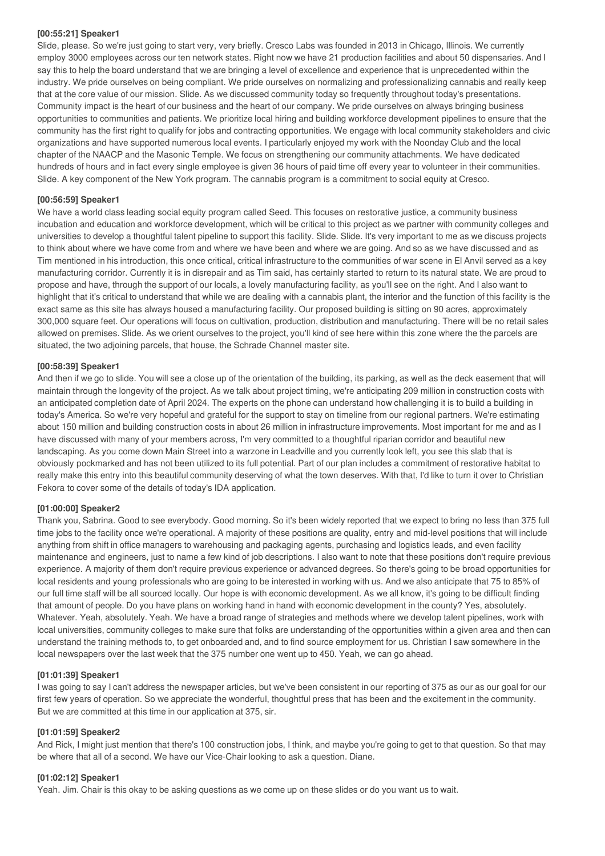#### **[00:55:21] Speaker1**

Slide, please. So we're just going to start very, very briefly. Cresco Labs was founded in 2013 in Chicago, Illinois. We currently employ 3000 employees across our ten network states. Right now we have 21 production facilities and about 50 dispensaries. And I say this to help the board understand that we are bringing a level of excellence and experience that is unprecedented within the industry. We pride ourselves on being compliant. We pride ourselves on normalizing and professionalizing cannabis and really keep that at the core value of our mission. Slide. As we discussed community today so frequently throughout today's presentations. Community impact is the heart of our business and the heart of our company. We pride ourselves on always bringing business opportunities to communities and patients. We prioritize local hiring and building workforce development pipelines to ensure that the community has the first right to qualify for jobs and contracting opportunities. We engage with local community stakeholders and civic organizations and have supported numerous local events. I particularly enjoyed my work with the Noonday Club and the local chapter of the NAACP and the Masonic Temple. We focus on strengthening our community attachments. We have dedicated hundreds of hours and in fact every single employee is given 36 hours of paid time off every year to volunteer in their communities. Slide. A key component of the New York program. The cannabis program is a commitment to social equity at Cresco.

## **[00:56:59] Speaker1**

We have a world class leading social equity program called Seed. This focuses on restorative justice, a community business incubation and education and workforce development, which will be critical to this project as we partner with community colleges and universities to develop a thoughtful talent pipeline to support this facility. Slide. Slide. It's very important to me as we discuss projects to think about where we have come from and where we have been and where we are going. And so as we have discussed and as Tim mentioned in his introduction, this once critical, critical infrastructure to the communities of war scene in El Anvil served as a key manufacturing corridor. Currently it is in disrepair and as Tim said, has certainly started to return to its natural state. We are proud to propose and have, through the support of our locals, a lovely manufacturing facility, as you'll see on the right. And I also want to highlight that it's critical to understand that while we are dealing with a cannabis plant, the interior and the function of this facility is the exact same as this site has always housed a manufacturing facility. Our proposed building is sitting on 90 acres, approximately 300,000 square feet. Our operations will focus on cultivation, production, distribution and manufacturing. There will be no retail sales allowed on premises. Slide. As we orient ourselves to the project, you'll kind of see here within this zone where the the parcels are situated, the two adjoining parcels, that house, the Schrade Channel master site.

## **[00:58:39] Speaker1**

And then if we go to slide. You will see a close up of the orientation of the building, its parking, as well as the deck easement that will maintain through the longevity of the project. As we talk about project timing, we're anticipating 209 million in construction costs with an anticipated completion date of April 2024. The experts on the phone can understand how challenging it is to build a building in today's America. So we're very hopeful and grateful for the support to stay on timeline from our regional partners. We're estimating about 150 million and building construction costs in about 26 million in infrastructure improvements. Most important for me and as I have discussed with many of your members across, I'm very committed to a thoughtful riparian corridor and beautiful new landscaping. As you come down Main Street into a warzone in Leadville and you currently look left, you see this slab that is obviously pockmarked and has not been utilized to its full potential. Part of our plan includes a commitment of restorative habitat to really make this entry into this beautiful community deserving of what the town deserves. With that, I'd like to turn it over to Christian Fekora to cover some of the details of today's IDA application.

## **[01:00:00] Speaker2**

Thank you, Sabrina. Good to see everybody. Good morning. So it's been widely reported that we expect to bring no less than 375 full time jobs to the facility once we're operational. A majority of these positions are quality, entry and mid-level positions that will include anything from shift in office managers to warehousing and packaging agents, purchasing and logistics leads, and even facility maintenance and engineers, just to name a few kind of job descriptions. I also want to note that these positions don't require previous experience. A majority of them don't require previous experience or advanced degrees. So there's going to be broad opportunities for local residents and young professionals who are going to be interested in working with us. And we also anticipate that 75 to 85% of our full time staff will be all sourced locally. Our hope is with economic development. As we all know, it's going to be difficult finding that amount of people. Do you have plans on working hand in hand with economic development in the county? Yes, absolutely. Whatever. Yeah, absolutely. Yeah. We have a broad range of strategies and methods where we develop talent pipelines, work with local universities, community colleges to make sure that folks are understanding of the opportunities within a given area and then can understand the training methods to, to get onboarded and, and to find source employment for us. Christian I saw somewhere in the local newspapers over the last week that the 375 number one went up to 450. Yeah, we can go ahead.

#### **[01:01:39] Speaker1**

I was going to say I can't address the newspaper articles, but we've been consistent in our reporting of 375 as our as our goal for our first few years of operation. So we appreciate the wonderful, thoughtful press that has been and the excitement in the community. But we are committed at this time in our application at 375, sir.

#### **[01:01:59] Speaker2**

And Rick, I might just mention that there's 100 construction jobs, I think, and maybe you're going to get to that question. So that may be where that all of a second. We have our Vice-Chair looking to ask a question. Diane.

## **[01:02:12] Speaker1**

Yeah. Jim. Chair is this okay to be asking questions as we come up on these slides or do you want us to wait.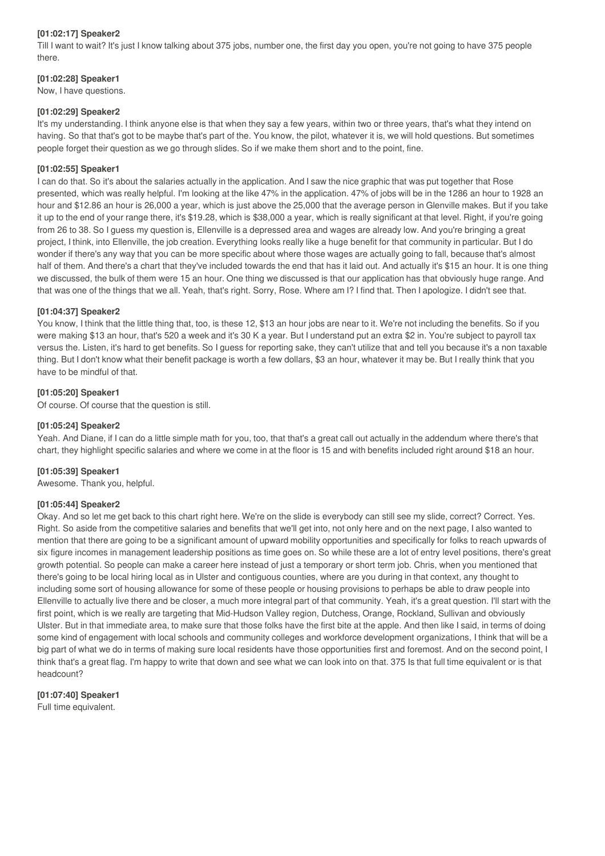## **[01:02:17] Speaker2**

Till I want to wait? It's just I know talking about 375 jobs, number one, the first day you open, you're not going to have 375 people there.

## **[01:02:28] Speaker1**

Now, I have questions.

## **[01:02:29] Speaker2**

It's my understanding. I think anyone else is that when they say a few years, within two or three years, that's what they intend on having. So that that's got to be maybe that's part of the. You know, the pilot, whatever it is, we will hold questions. But sometimes people forget their question as we go through slides. So if we make them short and to the point, fine.

## **[01:02:55] Speaker1**

I can do that. So it's about the salaries actually in the application. And I saw the nice graphic that was put together that Rose presented, which was really helpful. I'm looking at the like 47% in the application. 47% of jobs will be in the 1286 an hour to 1928 an hour and \$12.86 an hour is 26,000 a year, which is just above the 25,000 that the average person in Glenville makes. But if you take it up to the end of your range there, it's \$19.28, which is \$38,000 a year, which is really significant at that level. Right, if you're going from 26 to 38. So I guess my question is, Ellenville is a depressed area and wages are already low. And you're bringing a great project, I think, into Ellenville, the job creation. Everything looks really like a huge benefit for that community in particular. But I do wonder if there's any way that you can be more specific about where those wages are actually going to fall, because that's almost half of them. And there's a chart that they've included towards the end that has it laid out. And actually it's \$15 an hour. It is one thing we discussed, the bulk of them were 15 an hour. One thing we discussed is that our application has that obviously huge range. And that was one of the things that we all. Yeah, that's right. Sorry, Rose. Where am I? I find that. Then I apologize. I didn't see that.

## **[01:04:37] Speaker2**

You know, I think that the little thing that, too, is these 12, \$13 an hour jobs are near to it. We're not including the benefits. So if you were making \$13 an hour, that's 520 a week and it's 30 K a year. But I understand put an extra \$2 in. You're subject to payroll tax versus the. Listen, it's hard to get benefits. So I guess for reporting sake, they can't utilize that and tell you because it's a non taxable thing. But I don't know what their benefit package is worth a few dollars, \$3 an hour, whatever it may be. But I really think that you have to be mindful of that.

## **[01:05:20] Speaker1**

Of course. Of course that the question is still.

## **[01:05:24] Speaker2**

Yeah. And Diane, if I can do a little simple math for you, too, that that's a great call out actually in the addendum where there's that chart, they highlight specific salaries and where we come in at the floor is 15 and with benefits included right around \$18 an hour.

## **[01:05:39] Speaker1**

Awesome. Thank you, helpful.

## **[01:05:44] Speaker2**

Okay. And so let me get back to this chart right here. We're on the slide is everybody can still see my slide, correct? Correct. Yes. Right. So aside from the competitive salaries and benefits that we'll get into, not only here and on the next page, I also wanted to mention that there are going to be a significant amount of upward mobility opportunities and specifically for folks to reach upwards of six figure incomes in management leadership positions as time goes on. So while these are a lot of entry level positions, there's great growth potential. So people can make a career here instead of just a temporary or short term job. Chris, when you mentioned that there's going to be local hiring local as in Ulster and contiguous counties, where are you during in that context, any thought to including some sort of housing allowance for some of these people or housing provisions to perhaps be able to draw people into Ellenville to actually live there and be closer, a much more integral part of that community. Yeah, it's a great question. I'll start with the first point, which is we really are targeting that Mid-Hudson Valley region, Dutchess, Orange, Rockland, Sullivan and obviously Ulster. But in that immediate area, to make sure that those folks have the first bite at the apple. And then like I said, in terms of doing some kind of engagement with local schools and community colleges and workforce development organizations, I think that will be a big part of what we do in terms of making sure local residents have those opportunities first and foremost. And on the second point, I think that's a great flag. I'm happy to write that down and see what we can look into on that. 375 Is that full time equivalent or is that headcount?

# **[01:07:40] Speaker1**

Full time equivalent.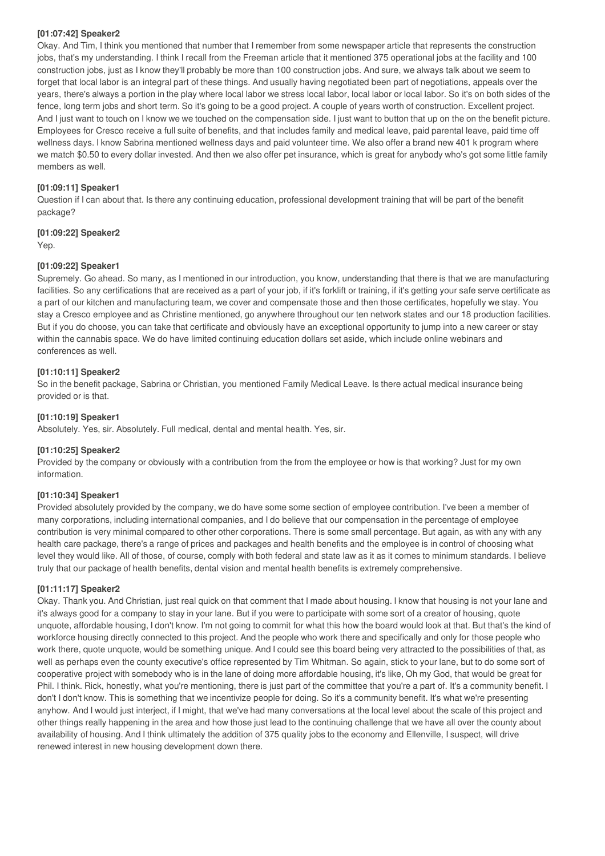## **[01:07:42] Speaker2**

Okay. And Tim, I think you mentioned that number that I remember from some newspaper article that represents the construction jobs, that's my understanding. I think I recall from the Freeman article that it mentioned 375 operational jobs at the facility and 100 construction jobs, just as I know they'll probably be more than 100 construction jobs. And sure, we always talk about we seem to forget that local labor is an integral part of these things. And usually having negotiated been part of negotiations, appeals over the years, there's always a portion in the play where local labor we stress local labor, local labor or local labor. So it's on both sides of the fence, long term jobs and short term. So it's going to be a good project. A couple of years worth of construction. Excellent project. And I just want to touch on I know we we touched on the compensation side. I just want to button that up on the on the benefit picture. Employees for Cresco receive a full suite of benefits, and that includes family and medical leave, paid parental leave, paid time off wellness days. I know Sabrina mentioned wellness days and paid volunteer time. We also offer a brand new 401 k program where we match \$0.50 to every dollar invested. And then we also offer pet insurance, which is great for anybody who's got some little family members as well.

## **[01:09:11] Speaker1**

Question if I can about that. Is there any continuing education, professional development training that will be part of the benefit package?

## **[01:09:22] Speaker2**

Yep.

## **[01:09:22] Speaker1**

Supremely. Go ahead. So many, as I mentioned in our introduction, you know, understanding that there is that we are manufacturing facilities. So any certifications that are received as a part of your job, if it's forklift or training, if it's getting your safe serve certificate as a part of our kitchen and manufacturing team, we cover and compensate those and then those certificates, hopefully we stay. You stay a Cresco employee and as Christine mentioned, go anywhere throughout our ten network states and our 18 production facilities. But if you do choose, you can take that certificate and obviously have an exceptional opportunity to jump into a new career or stay within the cannabis space. We do have limited continuing education dollars set aside, which include online webinars and conferences as well.

## **[01:10:11] Speaker2**

So in the benefit package, Sabrina or Christian, you mentioned Family Medical Leave. Is there actual medical insurance being provided or is that.

## **[01:10:19] Speaker1**

Absolutely. Yes, sir. Absolutely. Full medical, dental and mental health. Yes, sir.

## **[01:10:25] Speaker2**

Provided by the company or obviously with a contribution from the from the employee or how is that working? Just for my own information.

#### **[01:10:34] Speaker1**

Provided absolutely provided by the company, we do have some some section of employee contribution. I've been a member of many corporations, including international companies, and I do believe that our compensation in the percentage of employee contribution is very minimal compared to other other corporations. There is some small percentage. But again, as with any with any health care package, there's a range of prices and packages and health benefits and the employee is in control of choosing what level they would like. All of those, of course, comply with both federal and state law as it as it comes to minimum standards. I believe truly that our package of health benefits, dental vision and mental health benefits is extremely comprehensive.

## **[01:11:17] Speaker2**

Okay. Thank you. And Christian, just real quick on that comment that I made about housing. I know that housing is not your lane and it's always good for a company to stay in your lane. But if you were to participate with some sort of a creator of housing, quote unquote, affordable housing, I don't know. I'm not going to commit for what this how the board would look at that. But that's the kind of workforce housing directly connected to this project. And the people who work there and specifically and only for those people who work there, quote unquote, would be something unique. And I could see this board being very attracted to the possibilities of that, as well as perhaps even the county executive's office represented by Tim Whitman. So again, stick to your lane, but to do some sort of cooperative project with somebody who is in the lane of doing more affordable housing, it's like, Oh my God, that would be great for Phil. I think. Rick, honestly, what you're mentioning, there is just part of the committee that you're a part of. It's a community benefit. I don't I don't know. This is something that we incentivize people for doing. So it's a community benefit. It's what we're presenting anyhow. And I would just interject, if I might, that we've had many conversations at the local level about the scale of this project and other things really happening in the area and how those just lead to the continuing challenge that we have all over the county about availability of housing. And I think ultimately the addition of 375 quality jobs to the economy and Ellenville, I suspect, will drive renewed interest in new housing development down there.